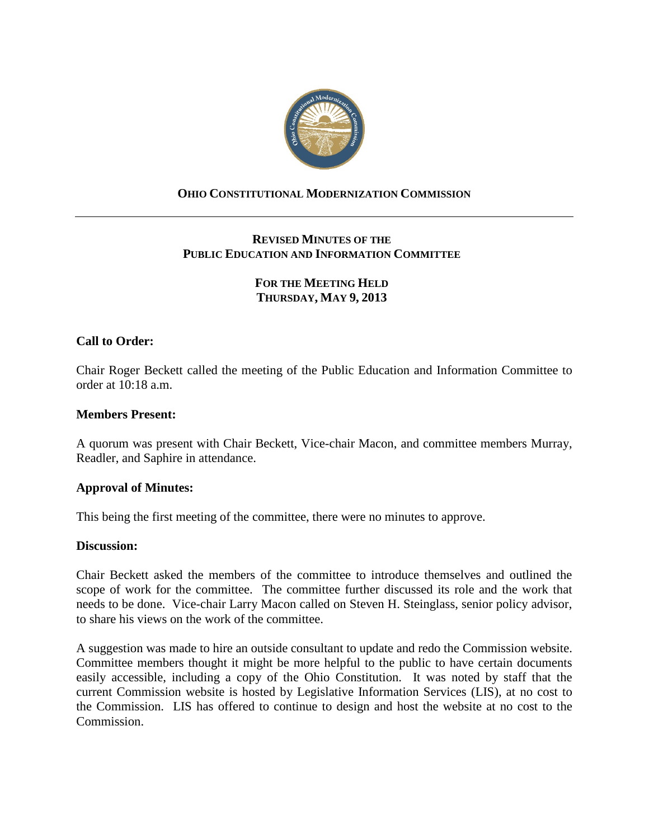

## **OHIO CONSTITUTIONAL MODERNIZATION COMMISSION**

# **REVISED MINUTES OF THE PUBLIC EDUCATION AND INFORMATION COMMITTEE**

# **FOR THE MEETING HELD THURSDAY, MAY 9, 2013**

## **Call to Order:**

Chair Roger Beckett called the meeting of the Public Education and Information Committee to order at 10:18 a.m.

### **Members Present:**

A quorum was present with Chair Beckett, Vice-chair Macon, and committee members Murray, Readler, and Saphire in attendance.

### **Approval of Minutes:**

This being the first meeting of the committee, there were no minutes to approve.

### **Discussion:**

Chair Beckett asked the members of the committee to introduce themselves and outlined the scope of work for the committee. The committee further discussed its role and the work that needs to be done. Vice-chair Larry Macon called on Steven H. Steinglass, senior policy advisor, to share his views on the work of the committee.

A suggestion was made to hire an outside consultant to update and redo the Commission website. Committee members thought it might be more helpful to the public to have certain documents easily accessible, including a copy of the Ohio Constitution. It was noted by staff that the current Commission website is hosted by Legislative Information Services (LIS), at no cost to the Commission. LIS has offered to continue to design and host the website at no cost to the Commission.